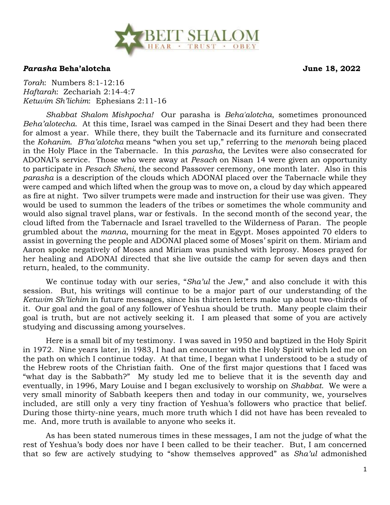

## *Parasha* **Beha'alotcha June 18, 2022**

*Torah*: Numbers 8:1-12:16 *Haftarah*: Zechariah 2:14-4:7 *Ketuvim Sh'lichim*: Ephesians 2:11-16

*Shabbat Shalom Mishpocha!* Our parasha is *Beha'alotcha*, sometimes pronounced *Beha'alotecha*. At this time, Israel was camped in the Sinai Desert and they had been there for almost a year. While there, they built the Tabernacle and its furniture and consecrated the *Kohanim*. *B'ha'alotcha* means "when you set up," referring to the *menora*h being placed in the Holy Place in the Tabernacle. In this *parasha*, the Levites were also consecrated for ADONAI's service. Those who were away at *Pesach* on Nisan 14 were given an opportunity to participate in *Pesach Sheni*, the second Passover ceremony, one month later. Also in this *parasha* is a description of the clouds which ADONAI placed over the Tabernacle while they were camped and which lifted when the group was to move on, a cloud by day which appeared as fire at night. Two silver trumpets were made and instruction for their use was given. They would be used to summon the leaders of the tribes or sometimes the whole community and would also signal travel plans, war or festivals. In the second month of the second year, the cloud lifted from the Tabernacle and Israel travelled to the Wilderness of Paran. The people grumbled about the *manna*, mourning for the meat in Egypt. Moses appointed 70 elders to assist in governing the people and ADONAI placed some of Moses' spirit on them. Miriam and Aaron spoke negatively of Moses and Miriam was punished with leprosy. Moses prayed for her healing and ADONAI directed that she live outside the camp for seven days and then return, healed, to the community.

We continue today with our series, "*Sha'ul* the Jew," and also conclude it with this session. But, his writings will continue to be a major part of our understanding of the *Ketuvim Sh'lichim* in future messages, since his thirteen letters make up about two-thirds of it. Our goal and the goal of any follower of Yeshua should be truth. Many people claim their goal is truth, but are not actively seeking it. I am pleased that some of you are actively studying and discussing among yourselves.

Here is a small bit of my testimony. I was saved in 1950 and baptized in the Holy Spirit in 1972. Nine years later, in 1983, I had an encounter with the Holy Spirit which led me on the path on which I continue today. At that time, I began what I understood to be a study of the Hebrew roots of the Christian faith. One of the first major questions that I faced was "what day is the Sabbath?" My study led me to believe that it is the seventh day and eventually, in 1996, Mary Louise and I began exclusively to worship on *Shabbat*. We were a very small minority of Sabbath keepers then and today in our community, we, yourselves included, are still only a very tiny fraction of Yeshua's followers who practice that belief. During those thirty-nine years, much more truth which I did not have has been revealed to me. And, more truth is available to anyone who seeks it.

As has been stated numerous times in these messages, I am not the judge of what the rest of Yeshua's body does nor have I been called to be their teacher. But, I am concerned that so few are actively studying to "show themselves approved" as *Sha'ul* admonished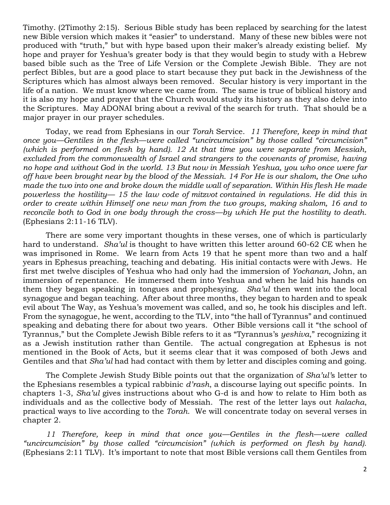Timothy. (2Timothy 2:15). Serious Bible study has been replaced by searching for the latest new Bible version which makes it "easier" to understand. Many of these new bibles were not produced with "truth," but with hype based upon their maker's already existing belief. My hope and prayer for Yeshua's greater body is that they would begin to study with a Hebrew based bible such as the Tree of Life Version or the Complete Jewish Bible. They are not perfect Bibles, but are a good place to start because they put back in the Jewishness of the Scriptures which has almost always been removed. Secular history is very important in the life of a nation. We must know where we came from. The same is true of biblical history and it is also my hope and prayer that the Church would study its history as they also delve into the Scriptures. May ADONAI bring about a revival of the search for truth. That should be a major prayer in our prayer schedules.

Today, we read from Ephesians in our *Torah* Service. *11 Therefore, keep in mind that once you—Gentiles in the flesh—were called "uncircumcision" by those called "circumcision" (which is performed on flesh by hand). 12 At that time you were separate from Messiah, excluded from the commonwealth of Israel and strangers to the covenants of promise, having no hope and without God in the world. 13 But now in Messiah Yeshua, you who once were far off have been brought near by the blood of the Messiah. 14 For He is our shalom, the One who made the two into one and broke down the middle wall of separation. Within His flesh He made powerless the hostility— 15 the law code of mitzvot contained in regulations. He did this in order to create within Himself one new man from the two groups, making shalom, 16 and to reconcile both to God in one body through the cross—by which He put the hostility to death*. (Ephesians 2:11-16 TLV).

There are some very important thoughts in these verses, one of which is particularly hard to understand. *Sha'ul* is thought to have written this letter around 60-62 CE when he was imprisoned in Rome. We learn from Acts 19 that he spent more than two and a half years in Ephesus preaching, teaching and debating. His initial contacts were with Jews. He first met twelve disciples of Yeshua who had only had the immersion of *Yochanan*, John, an immersion of repentance. He immersed them into Yeshua and when he laid his hands on them they began speaking in tongues and prophesying. *Sha'ul* then went into the local synagogue and began teaching. After about three months, they began to harden and to speak evil about The Way, as Yeshua's movement was called, and so, he took his disciples and left. From the synagogue, he went, according to the TLV, into "the hall of Tyrannus" and continued speaking and debating there for about two years. Other Bible versions call it "the school of Tyrannus," but the Complete Jewish Bible refers to it as "Tyrannus's *yeshiva*," recognizing it as a Jewish institution rather than Gentile. The actual congregation at Ephesus is not mentioned in the Book of Acts, but it seems clear that it was composed of both Jews and Gentiles and that *Sha'ul* had had contact with them by letter and disciples coming and going.

The Complete Jewish Study Bible points out that the organization of *Sha'ul'*s letter to the Ephesians resembles a typical rabbinic *d'rash*, a discourse laying out specific points. In chapters 1-3, *Sha'ul* gives instructions about who G-d is and how to relate to Him both as individuals and as the collective body of Messiah. The rest of the letter lays out *halacha*, practical ways to live according to the *Torah*. We will concentrate today on several verses in chapter 2.

*11 Therefore, keep in mind that once you—Gentiles in the flesh—were called "uncircumcision" by those called "circumcision" (which is performed on flesh by hand).* (Ephesians 2:11 TLV). It's important to note that most Bible versions call them Gentiles from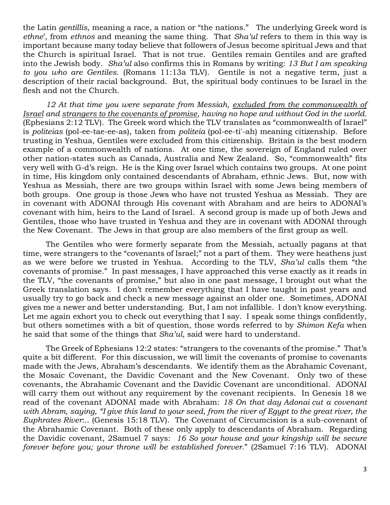the Latin *gentillis*, meaning a race, a nation or "the nations." The underlying Greek word is *ethne*', from *ethnos* and meaning the same thing. That *Sha'ul* refers to them in this way is important because many today believe that followers of Jesus become spiritual Jews and that the Church is spiritual Israel. That is not true. Gentiles remain Gentiles and are grafted into the Jewish body. *Sha'ul* also confirms this in Romans by writing: *13 But I am speaking to you who are Gentiles*. (Romans 11:13a TLV). Gentile is not a negative term, just a description of their racial background. But, the spiritual body continues to be Israel in the flesh and not the Church.

12 At that time you were separate from Messiah, excluded from the commonwealth of *Israel and strangers to the covenants of promise, having no hope and without God in the world.* (Ephesians 2:12 TLV). The Greek word which the TLV translates as "commonwealth of Israel" is *politeias* (pol-ee-tae-ee-as), taken from *politeia* (pol-ee-ti'-ah) meaning citizenship. Before trusting in Yeshua, Gentiles were excluded from this citizenship. Britain is the best modern example of a commonwealth of nations. At one time, the sovereign of England ruled over other nation-states such as Canada, Australia and New Zealand. So, "commonwealth" fits very well with G-d's reign. He is the King over Israel which contains two groups. At one point in time, His kingdom only contained descendants of Abraham, ethnic Jews. But, now with Yeshua as Messiah, there are two groups within Israel with some Jews being members of both groups. One group is those Jews who have not trusted Yeshua as Messiah. They are in covenant with ADONAI through His covenant with Abraham and are heirs to ADONAI's covenant with him, heirs to the Land of Israel. A second group is made up of both Jews and Gentiles, those who have trusted in Yeshua and they are in covenant with ADONAI through the New Covenant. The Jews in that group are also members of the first group as well.

The Gentiles who were formerly separate from the Messiah, actually pagans at that time, were strangers to the "covenants of Israel;" not a part of them. They were heathens just as we were before we trusted in Yeshua. According to the TLV, *Sha'ul* calls them "the covenants of promise." In past messages, I have approached this verse exactly as it reads in the TLV, "the covenants of promise," but also in one past message, I brought out what the Greek translation says. I don't remember everything that I have taught in past years and usually try to go back and check a new message against an older one. Sometimes, ADONAI gives me a newer and better understanding. But, I am not infallible. I don't know everything. Let me again exhort you to check out everything that I say. I speak some things confidently, but others sometimes with a bit of question, those words referred to by *Shimon Kefa* when he said that some of the things that *Sha'ul*, said were hard to understand.

The Greek of Ephesians 12:2 states: "strangers to the covenants of the promise." That's quite a bit different. For this discussion, we will limit the covenants of promise to covenants made with the Jews, Abraham's descendants. We identify them as the Abrahamic Covenant, the Mosaic Covenant, the Davidic Covenant and the New Covenant. Only two of these covenants, the Abrahamic Covenant and the Davidic Covenant are unconditional. ADONAI will carry them out without any requirement by the covenant recipients. In Genesis 18 we read of the covenant ADONAI made with Abraham: *18 On that day Adonai cut a covenant*  with Abram, saying, "I give this land to your seed, from the river of Egypt to the great river, the *Euphrates River*:.. (Genesis 15:18 TLV). The Covenant of Circumcision is a sub-covenant of the Abrahamic Covenant. Both of these only apply to descendants of Abraham. Regarding the Davidic covenant, 2Samuel 7 says: *16 So your house and your kingship will be secure forever before you; your throne will be established forever*." (2Samuel 7:16 TLV). ADONAI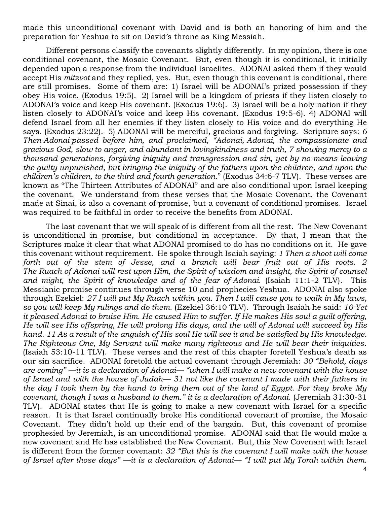made this unconditional covenant with David and is both an honoring of him and the preparation for Yeshua to sit on David's throne as King Messiah.

Different persons classify the covenants slightly differently. In my opinion, there is one conditional covenant, the Mosaic Covenant. But, even though it is conditional, it initially depended upon a response from the individual Israelites. ADONAI asked them if they would accept His *mitzvot* and they replied, yes. But, even though this covenant is conditional, there are still promises. Some of them are: 1) Israel will be ADONAI's prized possession if they obey His voice. (Exodus 19:5). 2) Israel will be a kingdom of priests if they listen closely to ADONAI's voice and keep His covenant. (Exodus 19:6). 3) Israel will be a holy nation if they listen closely to ADONAI's voice and keep His covenant. (Exodus 19:5-6). 4) ADONAI will defend Israel from all her enemies if they listen closely to His voice and do everything He says. (Exodus 23:22). 5) ADONAI will be merciful, gracious and forgiving. Scripture says: *6 Then Adonai passed before him, and proclaimed, "Adonai, Adonai, the compassionate and gracious God, slow to anger, and abundant in lovingkindness and truth, 7 showing mercy to a thousand generations, forgiving iniquity and transgression and sin, yet by no means leaving the guilty unpunished, but bringing the iniquity of the fathers upon the children, and upon the children's children, to the third and fourth generation*." (Exodus 34:6-7 TLV). These verses are known as "The Thirteen Attributes of ADONAI" and are also conditional upon Israel keeping the covenant. We understand from these verses that the Mosaic Covenant, the Covenant made at Sinai, is also a covenant of promise, but a covenant of conditional promises. Israel was required to be faithful in order to receive the benefits from ADONAI.

The last covenant that we will speak of is different from all the rest. The New Covenant is unconditional in promise, but conditional in acceptance. By that, I mean that the Scriptures make it clear that what ADONAI promised to do has no conditions on it. He gave this covenant without requirement. He spoke through Isaiah saying: *1 Then a shoot will come forth out of the stem of Jesse, and a branch will bear fruit out of His roots. 2 The Ruach of Adonai will rest upon Him, the Spirit of wisdom and insight, the Spirit of counsel and might, the Spirit of knowledge and of the fear of Adonai*. (Isaiah 11:1-2 TLV). This Messianic promise continues through verse 10 and prophecies Yeshua. ADONAI also spoke through Ezekiel: *27 I will put My Ruach within you. Then I will cause you to walk in My laws, so you will keep My rulings and do them*. (Ezekiel 36:10 TLV). Through Isaiah he said: *10 Yet it pleased Adonai to bruise Him. He caused Him to suffer. If He makes His soul a guilt offering, He will see His offspring, He will prolong His days, and the will of Adonai will succeed by His hand. 11 As a result of the anguish of His soul He will see it and be satisfied by His knowledge. The Righteous One, My Servant will make many righteous and He will bear their iniquities*. (Isaiah 53:10-11 TLV). These verses and the rest of this chapter foretell Yeshua's death as our sin sacrifice. ADONAI foretold the actual covenant through Jeremiah: *30 "Behold, days are coming" —it is a declaration of Adonai— "when I will make a new covenant with the house of Israel and with the house of Judah— 31 not like the covenant I made with their fathers in the day I took them by the hand to bring them out of the land of Egypt. For they broke My covenant, though I was a husband to them." it is a declaration of Adonai*. (Jeremiah 31:30-31 TLV). ADONAI states that He is going to make a new covenant with Israel for a specific reason. It is that Israel continually broke His conditional covenant of promise, the Mosaic Covenant. They didn't hold up their end of the bargain. But, this covenant of promise prophesied by Jeremiah, is an unconditional promise. ADONAI said that He would make a new covenant and He has established the New Covenant. But, this New Covenant with Israel is different from the former covenant: *32 "But this is the covenant I will make with the house of Israel after those days" —it is a declaration of Adonai— "I will put My Torah within them.*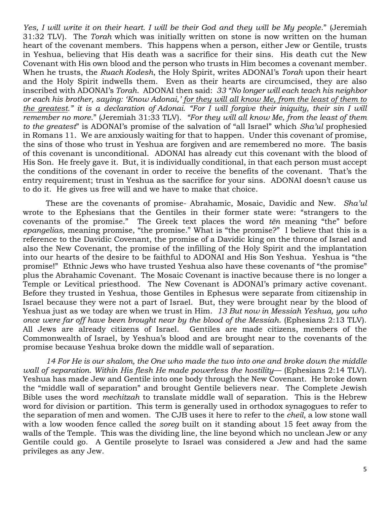*Yes, I will write it on their heart. I will be their God and they will be My people*." (Jeremiah 31:32 TLV). The *Torah* which was initially written on stone is now written on the human heart of the covenant members. This happens when a person, either Jew or Gentile, trusts in Yeshua, believing that His death was a sacrifice for their sins. His death cut the New Covenant with His own blood and the person who trusts in Him becomes a covenant member. When he trusts, the *Ruach Kodesh*, the Holy Spirit, writes ADONAI's *Torah* upon their heart and the Holy Spirit indwells them. Even as their hearts are circumcised, they are also inscribed with ADONAI's *Torah*. ADONAI then said: *33 "No longer will each teach his neighbor or each his brother, saying: 'Know Adonai,' for they will all know Me, from the least of them to the greatest." it is a declaration of Adonai. "For I will forgive their iniquity, their sin I will remember no more*." (Jeremiah 31:33 TLV). *"For they will all know Me, from the least of them to the greatest*" is ADONAI's promise of the salvation of "all Israel" which *Sha'ul* prophesied in Romans 11. We are anxiously waiting for that to happen. Under this covenant of promise, the sins of those who trust in Yeshua are forgiven and are remembered no more. The basis of this covenant is unconditional. ADONAI has already cut this covenant with the blood of His Son. He freely gave it. But, it is individually conditional, in that each person must accept the conditions of the covenant in order to receive the benefits of the covenant. That's the entry requirement; trust in Yeshua as the sacrifice for your sins. ADONAI doesn't cause us to do it. He gives us free will and we have to make that choice.

These are the covenants of promise- Abrahamic, Mosaic, Davidic and New. *Sha'ul* wrote to the Ephesians that the Gentiles in their former state were: "strangers to the covenants of the promise." The Greek text places the word *tēn* meaning "the" before *epangelias*, meaning promise, "the promise." What is "the promise?" I believe that this is a reference to the Davidic Covenant, the promise of a Davidic king on the throne of Israel and also the New Covenant, the promise of the infilling of the Holy Spirit and the implantation into our hearts of the desire to be faithful to ADONAI and His Son Yeshua. Yeshua is "the promise!" Ethnic Jews who have trusted Yeshua also have these covenants of "the promise" plus the Abrahamic Covenant. The Mosaic Covenant is inactive because there is no longer a Temple or Levitical priesthood. The New Covenant is ADONAI's primary active covenant. Before they trusted in Yeshua, those Gentiles in Ephesus were separate from citizenship in Israel because they were not a part of Israel. But, they were brought near by the blood of Yeshua just as we today are when we trust in Him. *13 But now in Messiah Yeshua, you who once were far off have been brought near by the blood of the Messiah*. (Ephesians 2:13 TLV). All Jews are already citizens of Israel. Gentiles are made citizens, members of the Commonwealth of Israel, by Yeshua's blood and are brought near to the covenants of the promise because Yeshua broke down the middle wall of separation.

*14 For He is our shalom, the One who made the two into one and broke down the middle wall of separation. Within His flesh He made powerless the hostility*— (Ephesians 2:14 TLV). Yeshua has made Jew and Gentile into one body through the New Covenant. He broke down the "middle wall of separation" and brought Gentile believers near. The Complete Jewish Bible uses the word *mechitzah* to translate middle wall of separation. This is the Hebrew word for division or partition. This term is generally used in orthodox synagogues to refer to the separation of men and women. The CJB uses it here to refer to the *cheil*, a low stone wall with a low wooden fence called the *soreg* built on it standing about 15 feet away from the walls of the Temple. This was the dividing line, the line beyond which no unclean Jew or any Gentile could go. A Gentile proselyte to Israel was considered a Jew and had the same privileges as any Jew.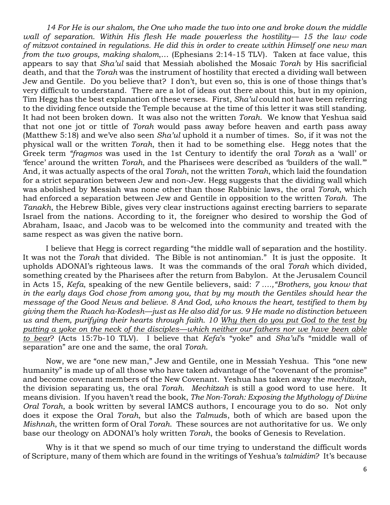*14 For He is our shalom, the One who made the two into one and broke down the middle wall of separation. Within His flesh He made powerless the hostility— 15 the law code of mitzvot contained in regulations. He did this in order to create within Himself one new man from the two groups, making shalom*,… (Ephesians 2:14-15 TLV). Taken at face value, this appears to say that *Sha'ul* said that Messiah abolished the Mosaic *Torah* by His sacrificial death, and that the *Torah* was the instrument of hostility that erected a dividing wall between Jew and Gentile. Do you believe that? I don't, but even so, this is one of those things that's very difficult to understand. There are a lot of ideas out there about this, but in my opinion, Tim Hegg has the best explanation of these verses. First, *Sha'ul* could not have been referring to the dividing fence outside the Temple because at the time of this letter it was still standing. It had not been broken down. It was also not the written *Torah*. We know that Yeshua said that not one jot or tittle of *Torah* would pass away before heaven and earth pass away (Matthew 5:18) and we've also seen *Sha'ul* uphold it a number of times. So, if it was not the physical wall or the written *Torah*, then it had to be something else. Hegg notes that the Greek term *"fragmos* was used in the 1st Century to identify the oral *Torah* as a 'wall' or 'fence' around the written *Torah*, and the Pharisees were described as 'builders of the wall.'" And, it was actually aspects of the oral *Torah*, not the written *Torah*, which laid the foundation for a strict separation between Jew and non-Jew. Hegg suggests that the dividing wall which was abolished by Messiah was none other than those Rabbinic laws, the oral *Torah*, which had enforced a separation between Jew and Gentile in opposition to the written *Torah*. The *Tanakh*, the Hebrew Bible, gives very clear instructions against erecting barriers to separate Israel from the nations. According to it, the foreigner who desired to worship the God of Abraham, Isaac, and Jacob was to be welcomed into the community and treated with the same respect as was given the native born.

I believe that Hegg is correct regarding "the middle wall of separation and the hostility. It was not the *Torah* that divided. The Bible is not antinomian." It is just the opposite. It upholds ADONAI's righteous laws. It was the commands of the oral *Torah* which divided, something created by the Pharisees after the return from Babylon. At the Jerusalem Council in Acts 15, *Kefa*, speaking of the new Gentile believers, said: *7 ….,"Brothers, you know that in the early days God chose from among you, that by my mouth the Gentiles should hear the message of the Good News and believe. 8 And God, who knows the heart, testified to them by giving them the Ruach ha-Kodesh—just as He also did for us. 9 He made no distinction between us and them, purifying their hearts through faith. 10 Why then do you put God to the test by putting a yoke on the neck of the disciples—which neither our fathers nor we have been able to bear*? (Acts 15:7b-10 TLV). I believe that *Kefa*'s "yoke" and *Sha'ul*'s "middle wall of separation" are one and the same, the oral *Torah*.

Now, we are "one new man," Jew and Gentile, one in Messiah Yeshua. This "one new humanity" is made up of all those who have taken advantage of the "covenant of the promise" and become covenant members of the New Covenant. Yeshua has taken away the *mechitzah*, the division separating us, the oral *Torah*. *Mechitzah* is still a good word to use here. It means division. If you haven't read the book, *The Non-Torah: Exposing the Mythology of Divine Oral Torah*, a book written by several IAMCS authors, I encourage you to do so. Not only does it expose the Oral *Torah*, but also the *Talmud*s, both of which are based upon the *Mishnah*, the written form of Oral *Torah*. These sources are not authoritative for us. We only base our theology on ADONAI's holy written *Torah*, the books of Genesis to Revelation.

Why is it that we spend so much of our time trying to understand the difficult words of Scripture, many of them which are found in the writings of Yeshua's *talmidim*? It's because